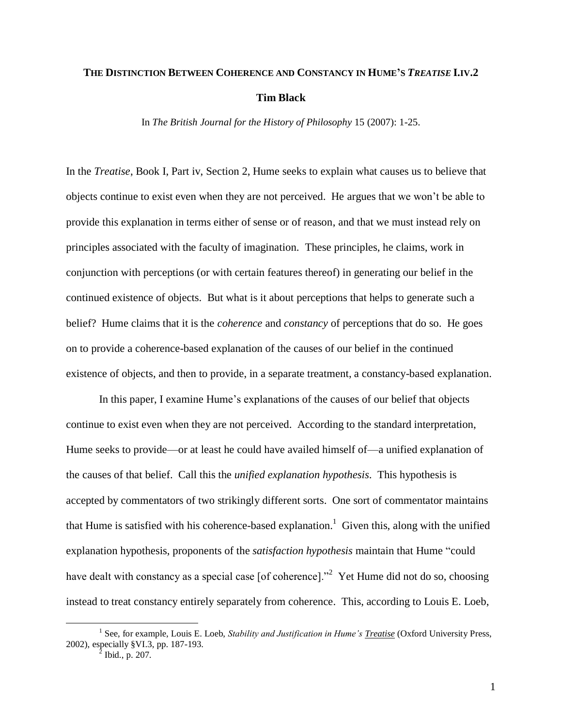# **THE DISTINCTION BETWEEN COHERENCE AND CONSTANCY IN HUME'S** *TREATISE* **I.IV.2 Tim Black**

In *The British Journal for the History of Philosophy* 15 (2007): 1-25.

In the *Treatise*, Book I, Part iv, Section 2, Hume seeks to explain what causes us to believe that objects continue to exist even when they are not perceived. He argues that we won"t be able to provide this explanation in terms either of sense or of reason, and that we must instead rely on principles associated with the faculty of imagination. These principles, he claims, work in conjunction with perceptions (or with certain features thereof) in generating our belief in the continued existence of objects. But what is it about perceptions that helps to generate such a belief? Hume claims that it is the *coherence* and *constancy* of perceptions that do so. He goes on to provide a coherence-based explanation of the causes of our belief in the continued existence of objects, and then to provide, in a separate treatment, a constancy-based explanation.

In this paper, I examine Hume"s explanations of the causes of our belief that objects continue to exist even when they are not perceived. According to the standard interpretation, Hume seeks to provide—or at least he could have availed himself of—a unified explanation of the causes of that belief. Call this the *unified explanation hypothesis*. This hypothesis is accepted by commentators of two strikingly different sorts. One sort of commentator maintains that Hume is satisfied with his coherence-based explanation.<sup>1</sup> Given this, along with the unified explanation hypothesis, proponents of the *satisfaction hypothesis* maintain that Hume "could have dealt with constancy as a special case [of coherence].<sup>22</sup> Yet Hume did not do so, choosing instead to treat constancy entirely separately from coherence. This, according to Louis E. Loeb,

<sup>&</sup>lt;sup>1</sup> See, for example, Louis E. Loeb, *Stability and Justification in Hume's <u>Treatise</u>* (Oxford University Press, 2002), especially §VI.3, pp. 187-193.

Ibid., p. 207.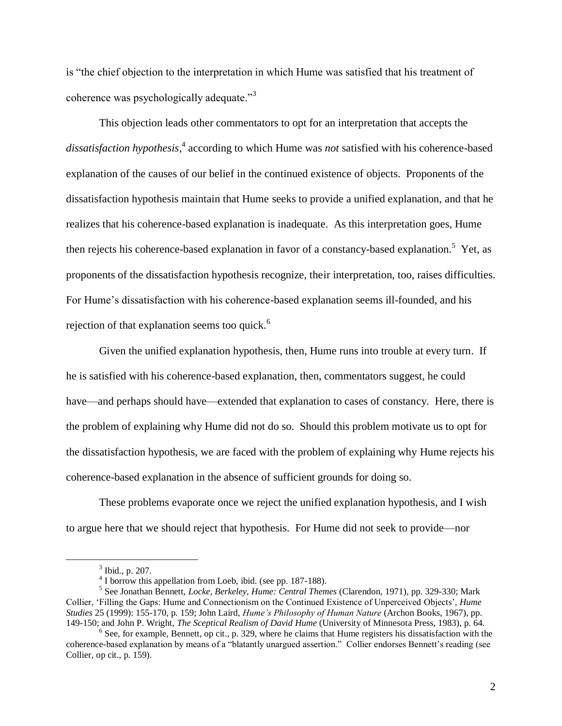is "the chief objection to the interpretation in which Hume was satisfied that his treatment of coherence was psychologically adequate."<sup>3</sup>

This objection leads other commentators to opt for an interpretation that accepts the dissatisfaction hypothesis,<sup>4</sup> according to which Hume was *not* satisfied with his coherence-based explanation of the causes of our belief in the continued existence of objects. Proponents of the dissatisfaction hypothesis maintain that Hume seeks to provide a unified explanation, and that he realizes that his coherence-based explanation is inadequate. As this interpretation goes, Hume then rejects his coherence-based explanation in favor of a constancy-based explanation.<sup>5</sup> Yet, as proponents of the dissatisfaction hypothesis recognize, their interpretation, too, raises difficulties. For Hume"s dissatisfaction with his coherence-based explanation seems ill-founded, and his rejection of that explanation seems too quick.<sup>6</sup>

Given the unified explanation hypothesis, then, Hume runs into trouble at every turn. If he is satisfied with his coherence-based explanation, then, commentators suggest, he could have—and perhaps should have—extended that explanation to cases of constancy. Here, there is the problem of explaining why Hume did not do so. Should this problem motivate us to opt for the dissatisfaction hypothesis, we are faced with the problem of explaining why Hume rejects his coherence-based explanation in the absence of sufficient grounds for doing so.

These problems evaporate once we reject the unified explanation hypothesis, and I wish to argue here that we should reject that hypothesis. For Hume did not seek to provide—nor

 $3$  Ibid., p. 207.

<sup>&</sup>lt;sup>4</sup> I borrow this appellation from Loeb, ibid. (see pp. 187-188).

<sup>5</sup> See Jonathan Bennett, *Locke, Berkeley, Hume: Central Themes* (Clarendon, 1971), pp. 329-330; Mark Collier, "Filling the Gaps: Hume and Connectionism on the Continued Existence of Unperceived Objects", *Hume Studies* 25 (1999): 155-170, p. 159; John Laird, *Hume's Philosophy of Human Nature* (Archon Books, 1967), pp. 149-150; and John P. Wright, *The Sceptical Realism of David Hume* (University of Minnesota Press, 1983), p. 64.

<sup>&</sup>lt;sup>6</sup> See, for example, Bennett, op cit., p. 329, where he claims that Hume registers his dissatisfaction with the coherence-based explanation by means of a "blatantly unargued assertion." Collier endorses Bennett"s reading (see Collier, op cit., p. 159).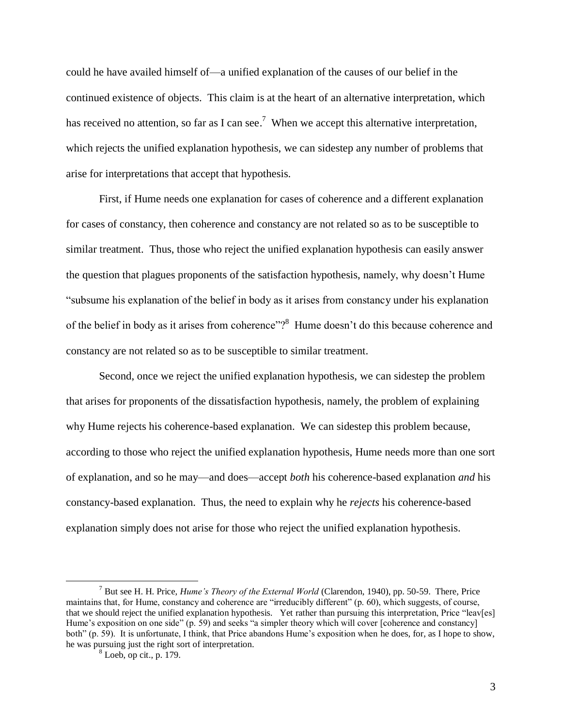could he have availed himself of—a unified explanation of the causes of our belief in the continued existence of objects. This claim is at the heart of an alternative interpretation, which has received no attention, so far as I can see.<sup>7</sup> When we accept this alternative interpretation, which rejects the unified explanation hypothesis, we can sidestep any number of problems that arise for interpretations that accept that hypothesis.

First, if Hume needs one explanation for cases of coherence and a different explanation for cases of constancy, then coherence and constancy are not related so as to be susceptible to similar treatment. Thus, those who reject the unified explanation hypothesis can easily answer the question that plagues proponents of the satisfaction hypothesis, namely, why doesn"t Hume "subsume his explanation of the belief in body as it arises from constancy under his explanation of the belief in body as it arises from coherence"?<sup>8</sup> Hume doesn't do this because coherence and constancy are not related so as to be susceptible to similar treatment.

Second, once we reject the unified explanation hypothesis, we can sidestep the problem that arises for proponents of the dissatisfaction hypothesis, namely, the problem of explaining why Hume rejects his coherence-based explanation. We can sidestep this problem because, according to those who reject the unified explanation hypothesis, Hume needs more than one sort of explanation, and so he may—and does—accept *both* his coherence-based explanation *and* his constancy-based explanation. Thus, the need to explain why he *rejects* his coherence-based explanation simply does not arise for those who reject the unified explanation hypothesis.

<sup>7</sup> But see H. H. Price, *Hume's Theory of the External World* (Clarendon, 1940), pp. 50-59. There, Price maintains that, for Hume, constancy and coherence are "irreducibly different" (p. 60), which suggests, of course, that we should reject the unified explanation hypothesis. Yet rather than pursuing this interpretation, Price "leav[es] Hume's exposition on one side" (p. 59) and seeks "a simpler theory which will cover [coherence and constancy] both" (p. 59). It is unfortunate, I think, that Price abandons Hume"s exposition when he does, for, as I hope to show, he was pursuing just the right sort of interpretation.

<sup>8</sup> Loeb, op cit., p. 179.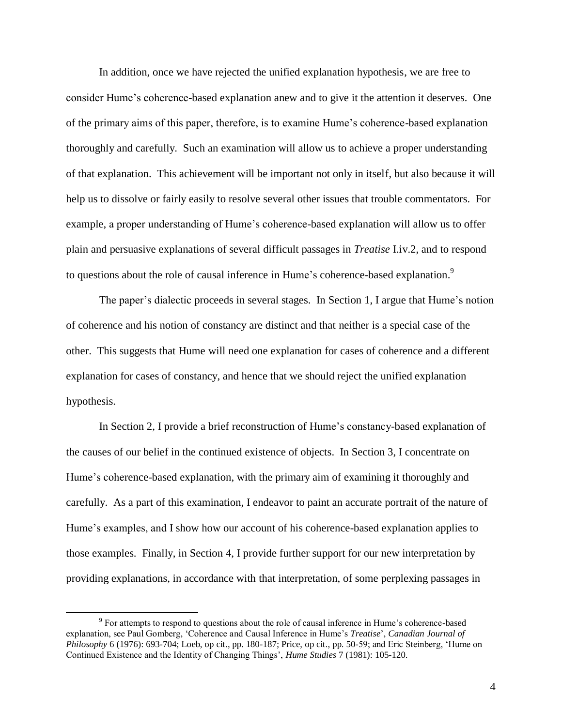In addition, once we have rejected the unified explanation hypothesis, we are free to consider Hume"s coherence-based explanation anew and to give it the attention it deserves. One of the primary aims of this paper, therefore, is to examine Hume"s coherence-based explanation thoroughly and carefully. Such an examination will allow us to achieve a proper understanding of that explanation. This achievement will be important not only in itself, but also because it will help us to dissolve or fairly easily to resolve several other issues that trouble commentators. For example, a proper understanding of Hume's coherence-based explanation will allow us to offer plain and persuasive explanations of several difficult passages in *Treatise* I.iv.2, and to respond to questions about the role of causal inference in Hume's coherence-based explanation.<sup>9</sup>

The paper"s dialectic proceeds in several stages. In Section 1, I argue that Hume"s notion of coherence and his notion of constancy are distinct and that neither is a special case of the other. This suggests that Hume will need one explanation for cases of coherence and a different explanation for cases of constancy, and hence that we should reject the unified explanation hypothesis.

In Section 2, I provide a brief reconstruction of Hume's constancy-based explanation of the causes of our belief in the continued existence of objects. In Section 3, I concentrate on Hume"s coherence-based explanation, with the primary aim of examining it thoroughly and carefully. As a part of this examination, I endeavor to paint an accurate portrait of the nature of Hume's examples, and I show how our account of his coherence-based explanation applies to those examples. Finally, in Section 4, I provide further support for our new interpretation by providing explanations, in accordance with that interpretation, of some perplexing passages in

 $9^9$  For attempts to respond to questions about the role of causal inference in Hume's coherence-based explanation, see Paul Gomberg, "Coherence and Causal Inference in Hume"s *Treatise*", *Canadian Journal of Philosophy* 6 (1976): 693-704; Loeb, op cit., pp. 180-187; Price, op cit., pp. 50-59; and Eric Steinberg, "Hume on Continued Existence and the Identity of Changing Things", *Hume Studies* 7 (1981): 105-120.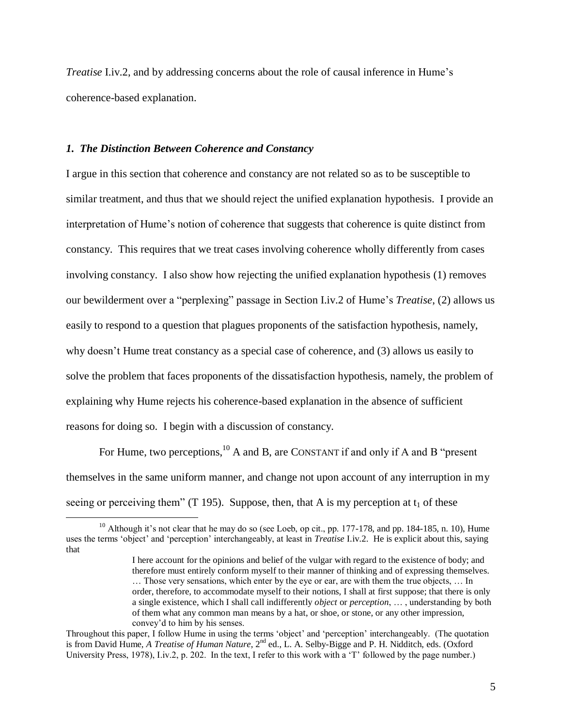*Treatise* I.iv.2, and by addressing concerns about the role of causal inference in Hume's coherence-based explanation.

# *1. The Distinction Between Coherence and Constancy*

 $\overline{a}$ 

I argue in this section that coherence and constancy are not related so as to be susceptible to similar treatment, and thus that we should reject the unified explanation hypothesis. I provide an interpretation of Hume"s notion of coherence that suggests that coherence is quite distinct from constancy. This requires that we treat cases involving coherence wholly differently from cases involving constancy. I also show how rejecting the unified explanation hypothesis (1) removes our bewilderment over a "perplexing" passage in Section I.iv.2 of Hume"s *Treatise*, (2) allows us easily to respond to a question that plagues proponents of the satisfaction hypothesis, namely, why doesn"t Hume treat constancy as a special case of coherence, and (3) allows us easily to solve the problem that faces proponents of the dissatisfaction hypothesis, namely, the problem of explaining why Hume rejects his coherence-based explanation in the absence of sufficient reasons for doing so. I begin with a discussion of constancy.

For Hume, two perceptions,  $^{10}$  A and B, are CONSTANT if and only if A and B "present themselves in the same uniform manner, and change not upon account of any interruption in my seeing or perceiving them" (T 195). Suppose, then, that A is my perception at  $t_1$  of these

 $10$  Although it's not clear that he may do so (see Loeb, op cit., pp. 177-178, and pp. 184-185, n. 10), Hume uses the terms "object" and "perception" interchangeably, at least in *Treatise* I.iv.2. He is explicit about this, saying that

I here account for the opinions and belief of the vulgar with regard to the existence of body; and therefore must entirely conform myself to their manner of thinking and of expressing themselves. … Those very sensations, which enter by the eye or ear, are with them the true objects, … In order, therefore, to accommodate myself to their notions, I shall at first suppose; that there is only a single existence, which I shall call indifferently *object* or *perception*, … , understanding by both of them what any common man means by a hat, or shoe, or stone, or any other impression, convey"d to him by his senses.

Throughout this paper, I follow Hume in using the terms "object" and "perception" interchangeably. (The quotation is from David Hume, *A Treatise of Human Nature*, 2<sup>nd</sup> ed., L. A. Selby-Bigge and P. H. Nidditch, eds. (Oxford University Press, 1978), I.iv.2, p. 202. In the text, I refer to this work with a 'T' followed by the page number.)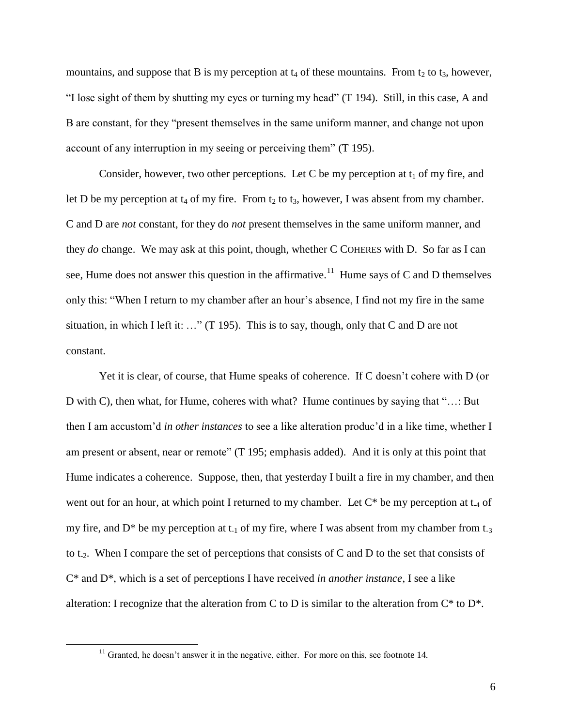mountains, and suppose that B is my perception at  $t_4$  of these mountains. From  $t_2$  to  $t_3$ , however, "I lose sight of them by shutting my eyes or turning my head" (T 194). Still, in this case, A and B are constant, for they "present themselves in the same uniform manner, and change not upon account of any interruption in my seeing or perceiving them" (T 195).

Consider, however, two other perceptions. Let C be my perception at  $t_1$  of my fire, and let D be my perception at  $t_4$  of my fire. From  $t_2$  to  $t_3$ , however, I was absent from my chamber. C and D are *not* constant, for they do *not* present themselves in the same uniform manner, and they *do* change. We may ask at this point, though, whether C COHERES with D. So far as I can see, Hume does not answer this question in the affirmative.<sup>11</sup> Hume says of C and D themselves only this: "When I return to my chamber after an hour"s absence, I find not my fire in the same situation, in which I left it: …" (T 195). This is to say, though, only that C and D are not constant.

Yet it is clear, of course, that Hume speaks of coherence. If C doesn't cohere with D (or D with C), then what, for Hume, coheres with what? Hume continues by saying that "…: But then I am accustom"d *in other instances* to see a like alteration produc"d in a like time, whether I am present or absent, near or remote" (T 195; emphasis added). And it is only at this point that Hume indicates a coherence. Suppose, then, that yesterday I built a fire in my chamber, and then went out for an hour, at which point I returned to my chamber. Let  $C^*$  be my perception at  $t_4$  of my fire, and  $D^*$  be my perception at  $t_1$  of my fire, where I was absent from my chamber from  $t_3$ to  $t_2$ . When I compare the set of perceptions that consists of C and D to the set that consists of C\* and D\*, which is a set of perceptions I have received *in another instance*, I see a like alteration: I recognize that the alteration from C to D is similar to the alteration from  $C^*$  to  $D^*$ .

 $11$  Granted, he doesn't answer it in the negative, either. For more on this, see footnote 14.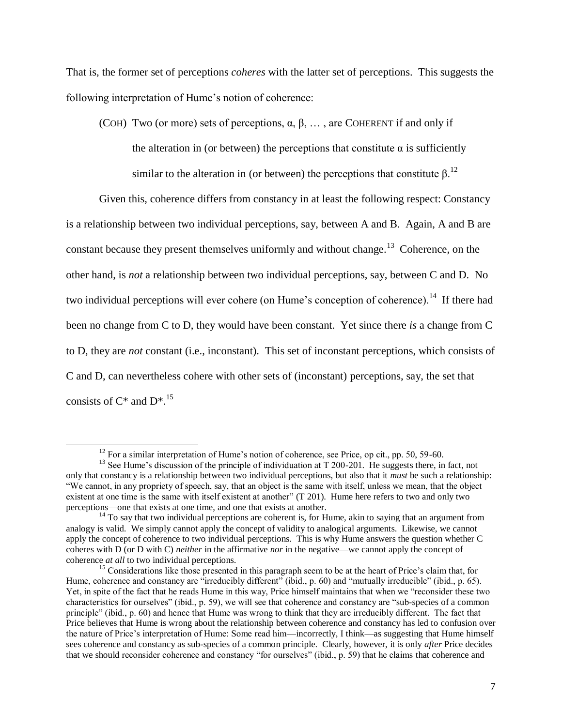That is, the former set of perceptions *coheres* with the latter set of perceptions. This suggests the following interpretation of Hume's notion of coherence:

(COH) Two (or more) sets of perceptions,  $\alpha, \beta, \ldots$ , are COHERENT if and only if

the alteration in (or between) the perceptions that constitute  $\alpha$  is sufficiently

similar to the alteration in (or between) the perceptions that constitute  $β<sup>12</sup>$ .

Given this, coherence differs from constancy in at least the following respect: Constancy is a relationship between two individual perceptions, say, between A and B. Again, A and B are constant because they present themselves uniformly and without change.<sup>13</sup> Coherence, on the other hand, is *not* a relationship between two individual perceptions, say, between C and D. No two individual perceptions will ever cohere (on Hume's conception of coherence).<sup>14</sup> If there had been no change from C to D, they would have been constant. Yet since there *is* a change from C to D, they are *not* constant (i.e., inconstant). This set of inconstant perceptions, which consists of C and D, can nevertheless cohere with other sets of (inconstant) perceptions, say, the set that consists of  $C^*$  and  $D^{*}$ .<sup>15</sup>

<sup>&</sup>lt;sup>12</sup> For a similar interpretation of Hume's notion of coherence, see Price, op cit., pp. 50, 59-60.

 $13$  See Hume's discussion of the principle of individuation at T 200-201. He suggests there, in fact, not only that constancy is a relationship between two individual perceptions, but also that it *must* be such a relationship: "We cannot, in any propriety of speech, say, that an object is the same with itself, unless we mean, that the object existent at one time is the same with itself existent at another" (T 201). Hume here refers to two and only two perceptions—one that exists at one time, and one that exists at another.

 $14$  To say that two individual perceptions are coherent is, for Hume, akin to saying that an argument from analogy is valid. We simply cannot apply the concept of validity to analogical arguments. Likewise, we cannot apply the concept of coherence to two individual perceptions. This is why Hume answers the question whether C coheres with D (or D with C) *neither* in the affirmative *nor* in the negative—we cannot apply the concept of coherence *at all* to two individual perceptions.

<sup>&</sup>lt;sup>15</sup> Considerations like those presented in this paragraph seem to be at the heart of Price's claim that, for Hume, coherence and constancy are "irreducibly different" (ibid., p. 60) and "mutually irreducible" (ibid., p. 65). Yet, in spite of the fact that he reads Hume in this way, Price himself maintains that when we "reconsider these two characteristics for ourselves" (ibid., p. 59), we will see that coherence and constancy are "sub-species of a common principle" (ibid., p. 60) and hence that Hume was wrong to think that they are irreducibly different. The fact that Price believes that Hume is wrong about the relationship between coherence and constancy has led to confusion over the nature of Price"s interpretation of Hume: Some read him—incorrectly, I think—as suggesting that Hume himself sees coherence and constancy as sub-species of a common principle. Clearly, however, it is only *after* Price decides that we should reconsider coherence and constancy "for ourselves" (ibid., p. 59) that he claims that coherence and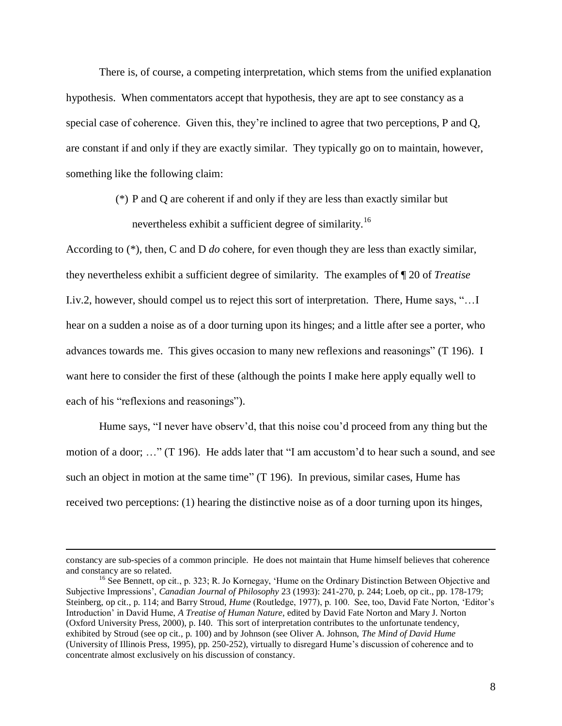There is, of course, a competing interpretation, which stems from the unified explanation hypothesis. When commentators accept that hypothesis, they are apt to see constancy as a special case of coherence. Given this, they"re inclined to agree that two perceptions, P and Q, are constant if and only if they are exactly similar. They typically go on to maintain, however, something like the following claim:

> (\*) P and Q are coherent if and only if they are less than exactly similar but nevertheless exhibit a sufficient degree of similarity.<sup>16</sup>

According to (\*), then, C and D *do* cohere, for even though they are less than exactly similar, they nevertheless exhibit a sufficient degree of similarity. The examples of ¶ 20 of *Treatise* I.iv.2, however, should compel us to reject this sort of interpretation. There, Hume says, "…I hear on a sudden a noise as of a door turning upon its hinges; and a little after see a porter, who advances towards me. This gives occasion to many new reflexions and reasonings" (T 196). I want here to consider the first of these (although the points I make here apply equally well to each of his "reflexions and reasonings").

Hume says, "I never have observ'd, that this noise cou'd proceed from any thing but the motion of a door; …" (T 196). He adds later that "I am accustom"d to hear such a sound, and see such an object in motion at the same time" (T 196). In previous, similar cases, Hume has received two perceptions: (1) hearing the distinctive noise as of a door turning upon its hinges,

constancy are sub-species of a common principle. He does not maintain that Hume himself believes that coherence and constancy are so related.

<sup>&</sup>lt;sup>16</sup> See Bennett, op cit., p. 323; R. Jo Kornegay, 'Hume on the Ordinary Distinction Between Objective and Subjective Impressions", *Canadian Journal of Philosophy* 23 (1993): 241-270, p. 244; Loeb, op cit., pp. 178-179; Steinberg, op cit., p. 114; and Barry Stroud, *Hume* (Routledge, 1977), p. 100. See, too, David Fate Norton, "Editor"s Introduction" in David Hume, *A Treatise of Human Nature*, edited by David Fate Norton and Mary J. Norton (Oxford University Press, 2000), p. I40. This sort of interpretation contributes to the unfortunate tendency, exhibited by Stroud (see op cit., p. 100) and by Johnson (see Oliver A. Johnson, *The Mind of David Hume* (University of Illinois Press, 1995), pp. 250-252), virtually to disregard Hume"s discussion of coherence and to concentrate almost exclusively on his discussion of constancy.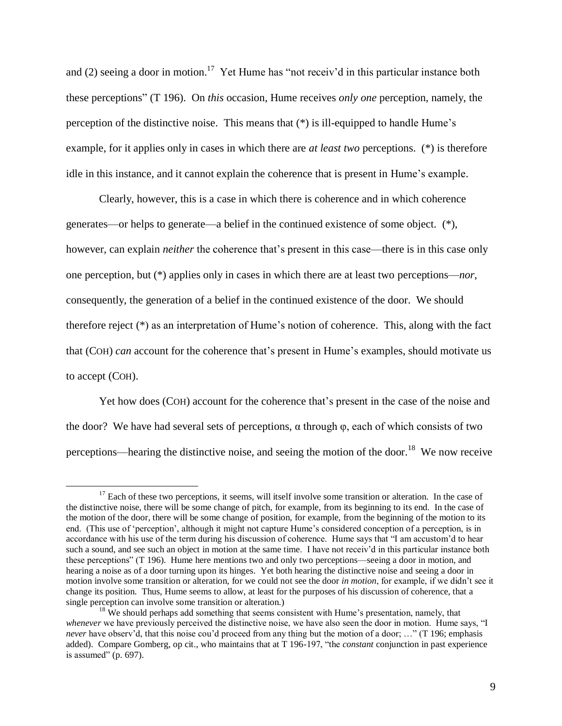and (2) seeing a door in motion.<sup>17</sup> Yet Hume has "not receiv'd in this particular instance both these perceptions" (T 196). On *this* occasion, Hume receives *only one* perception, namely, the perception of the distinctive noise. This means that (\*) is ill-equipped to handle Hume"s example, for it applies only in cases in which there are *at least two* perceptions. (\*) is therefore idle in this instance, and it cannot explain the coherence that is present in Hume"s example.

Clearly, however, this is a case in which there is coherence and in which coherence generates—or helps to generate—a belief in the continued existence of some object. (\*), however, can explain *neither* the coherence that's present in this case—there is in this case only one perception, but (\*) applies only in cases in which there are at least two perceptions—*nor*, consequently, the generation of a belief in the continued existence of the door. We should therefore reject  $(*)$  as an interpretation of Hume's notion of coherence. This, along with the fact that (COH) *can* account for the coherence that"s present in Hume"s examples, should motivate us to accept (COH).

Yet how does (COH) account for the coherence that"s present in the case of the noise and the door? We have had several sets of perceptions,  $\alpha$  through  $\varphi$ , each of which consists of two perceptions—hearing the distinctive noise, and seeing the motion of the door.<sup>18</sup> We now receive

 $17$  Each of these two perceptions, it seems, will itself involve some transition or alteration. In the case of the distinctive noise, there will be some change of pitch, for example, from its beginning to its end. In the case of the motion of the door, there will be some change of position, for example, from the beginning of the motion to its end. (This use of 'perception', although it might not capture Hume's considered conception of a perception, is in accordance with his use of the term during his discussion of coherence. Hume says that "I am accustom"d to hear such a sound, and see such an object in motion at the same time. I have not receiv'd in this particular instance both these perceptions" (T 196). Hume here mentions two and only two perceptions—seeing a door in motion, and hearing a noise as of a door turning upon its hinges. Yet both hearing the distinctive noise and seeing a door in motion involve some transition or alteration, for we could not see the door *in motion*, for example, if we didn"t see it change its position. Thus, Hume seems to allow, at least for the purposes of his discussion of coherence, that a single perception can involve some transition or alteration.)

 $18$  We should perhaps add something that seems consistent with Hume's presentation, namely, that *whenever* we have previously perceived the distinctive noise, we have also seen the door in motion. Hume says, "I *never* have observ'd, that this noise cou'd proceed from any thing but the motion of a door; ..." (T 196; emphasis added). Compare Gomberg, op cit., who maintains that at T 196-197, "the *constant* conjunction in past experience is assumed" (p. 697).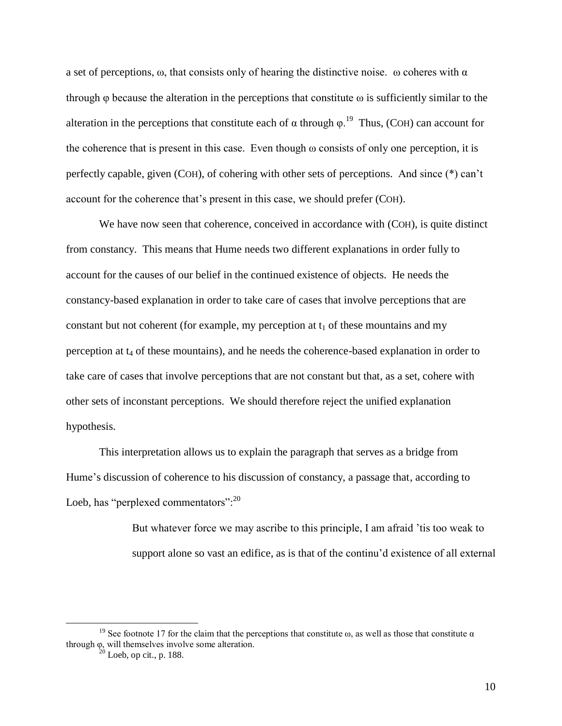a set of perceptions,  $\omega$ , that consists only of hearing the distinctive noise.  $\omega$  coheres with  $\alpha$ through  $\varphi$  because the alteration in the perceptions that constitute  $\omega$  is sufficiently similar to the alteration in the perceptions that constitute each of  $\alpha$  through  $\varphi$ .<sup>19</sup> Thus, (COH) can account for the coherence that is present in this case. Even though  $\omega$  consists of only one perception, it is perfectly capable, given (COH), of cohering with other sets of perceptions. And since (\*) can"t account for the coherence that"s present in this case, we should prefer (COH).

We have now seen that coherence, conceived in accordance with (COH), is quite distinct from constancy. This means that Hume needs two different explanations in order fully to account for the causes of our belief in the continued existence of objects. He needs the constancy-based explanation in order to take care of cases that involve perceptions that are constant but not coherent (for example, my perception at  $t_1$  of these mountains and my perception at  $t_4$  of these mountains), and he needs the coherence-based explanation in order to take care of cases that involve perceptions that are not constant but that, as a set, cohere with other sets of inconstant perceptions. We should therefore reject the unified explanation hypothesis.

This interpretation allows us to explain the paragraph that serves as a bridge from Hume"s discussion of coherence to his discussion of constancy, a passage that, according to Loeb, has "perplexed commentators": $^{20}$ 

> But whatever force we may ascribe to this principle, I am afraid "tis too weak to support alone so vast an edifice, as is that of the continu'd existence of all external

<sup>&</sup>lt;sup>19</sup> See footnote 17 for the claim that the perceptions that constitute  $\omega$ , as well as those that constitute  $\alpha$ through φ, will themselves involve some alteration.

 $^{20}$  Loeb, op cit., p. 188.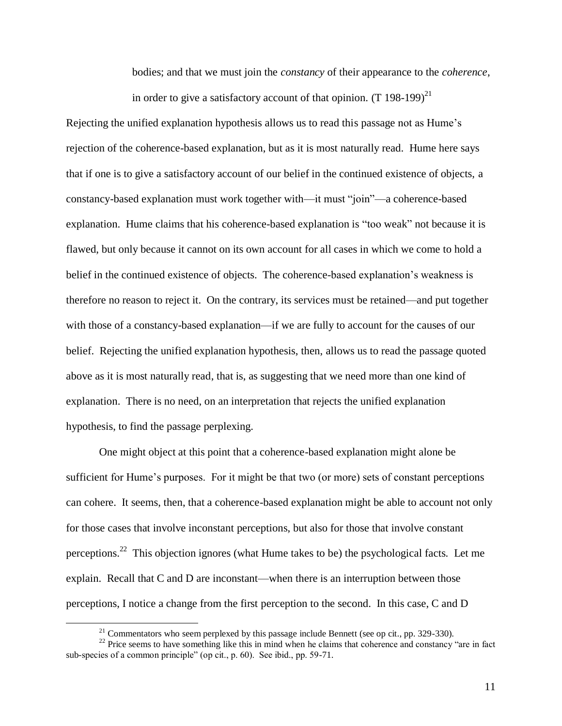bodies; and that we must join the *constancy* of their appearance to the *coherence*, in order to give a satisfactory account of that opinion.  $(T 198-199)^{21}$ 

Rejecting the unified explanation hypothesis allows us to read this passage not as Hume"s rejection of the coherence-based explanation, but as it is most naturally read. Hume here says that if one is to give a satisfactory account of our belief in the continued existence of objects, a constancy-based explanation must work together with—it must "join"—a coherence-based explanation. Hume claims that his coherence-based explanation is "too weak" not because it is flawed, but only because it cannot on its own account for all cases in which we come to hold a belief in the continued existence of objects. The coherence-based explanation"s weakness is therefore no reason to reject it. On the contrary, its services must be retained—and put together with those of a constancy-based explanation—if we are fully to account for the causes of our belief. Rejecting the unified explanation hypothesis, then, allows us to read the passage quoted above as it is most naturally read, that is, as suggesting that we need more than one kind of explanation. There is no need, on an interpretation that rejects the unified explanation hypothesis, to find the passage perplexing.

One might object at this point that a coherence-based explanation might alone be sufficient for Hume's purposes. For it might be that two (or more) sets of constant perceptions can cohere. It seems, then, that a coherence-based explanation might be able to account not only for those cases that involve inconstant perceptions, but also for those that involve constant perceptions.<sup>22</sup> This objection ignores (what Hume takes to be) the psychological facts. Let me explain. Recall that C and D are inconstant—when there is an interruption between those perceptions, I notice a change from the first perception to the second. In this case, C and D

 $21$  Commentators who seem perplexed by this passage include Bennett (see op cit., pp. 329-330).

<sup>&</sup>lt;sup>22</sup> Price seems to have something like this in mind when he claims that coherence and constancy "are in fact sub-species of a common principle" (op cit., p. 60). See ibid., pp. 59-71.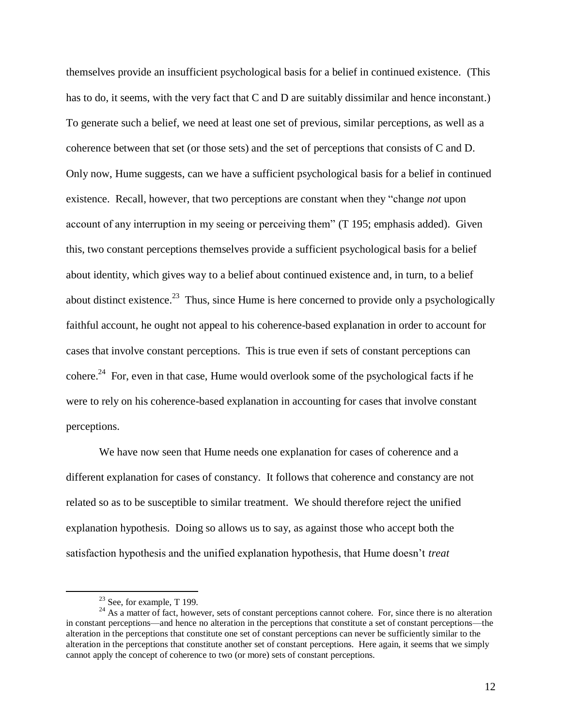themselves provide an insufficient psychological basis for a belief in continued existence. (This has to do, it seems, with the very fact that C and D are suitably dissimilar and hence inconstant.) To generate such a belief, we need at least one set of previous, similar perceptions, as well as a coherence between that set (or those sets) and the set of perceptions that consists of C and D. Only now, Hume suggests, can we have a sufficient psychological basis for a belief in continued existence. Recall, however, that two perceptions are constant when they "change *not* upon account of any interruption in my seeing or perceiving them" (T 195; emphasis added). Given this, two constant perceptions themselves provide a sufficient psychological basis for a belief about identity, which gives way to a belief about continued existence and, in turn, to a belief about distinct existence.<sup>23</sup> Thus, since Hume is here concerned to provide only a psychologically faithful account, he ought not appeal to his coherence-based explanation in order to account for cases that involve constant perceptions. This is true even if sets of constant perceptions can cohere.<sup>24</sup> For, even in that case, Hume would overlook some of the psychological facts if he were to rely on his coherence-based explanation in accounting for cases that involve constant perceptions.

We have now seen that Hume needs one explanation for cases of coherence and a different explanation for cases of constancy. It follows that coherence and constancy are not related so as to be susceptible to similar treatment. We should therefore reject the unified explanation hypothesis. Doing so allows us to say, as against those who accept both the satisfaction hypothesis and the unified explanation hypothesis, that Hume doesn"t *treat*

 $23$  See, for example, T 199.

<sup>&</sup>lt;sup>24</sup> As a matter of fact, however, sets of constant perceptions cannot cohere. For, since there is no alteration in constant perceptions—and hence no alteration in the perceptions that constitute a set of constant perceptions—the alteration in the perceptions that constitute one set of constant perceptions can never be sufficiently similar to the alteration in the perceptions that constitute another set of constant perceptions. Here again, it seems that we simply cannot apply the concept of coherence to two (or more) sets of constant perceptions.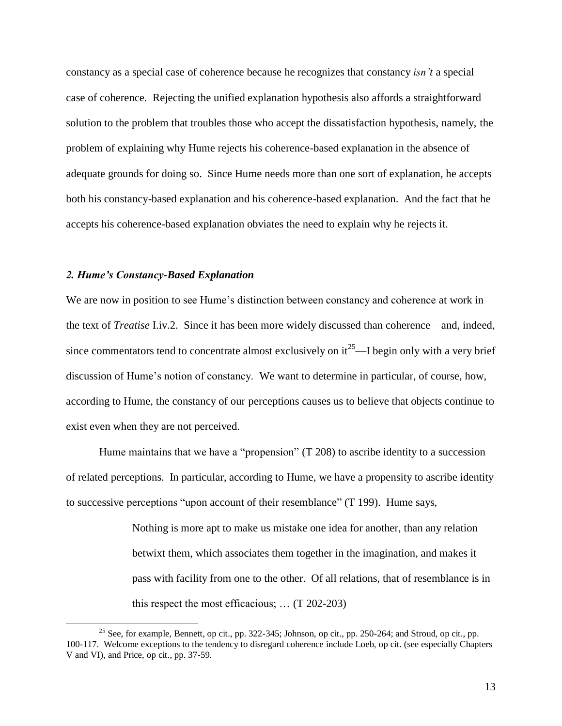constancy as a special case of coherence because he recognizes that constancy *isn't* a special case of coherence. Rejecting the unified explanation hypothesis also affords a straightforward solution to the problem that troubles those who accept the dissatisfaction hypothesis, namely, the problem of explaining why Hume rejects his coherence-based explanation in the absence of adequate grounds for doing so. Since Hume needs more than one sort of explanation, he accepts both his constancy-based explanation and his coherence-based explanation. And the fact that he accepts his coherence-based explanation obviates the need to explain why he rejects it.

# *2. Hume's Constancy-Based Explanation*

 $\overline{a}$ 

We are now in position to see Hume's distinction between constancy and coherence at work in the text of *Treatise* I.iv.2. Since it has been more widely discussed than coherence—and, indeed, since commentators tend to concentrate almost exclusively on  $it^{25}$ —I begin only with a very brief discussion of Hume's notion of constancy. We want to determine in particular, of course, how, according to Hume, the constancy of our perceptions causes us to believe that objects continue to exist even when they are not perceived.

Hume maintains that we have a "propension" (T 208) to ascribe identity to a succession of related perceptions. In particular, according to Hume, we have a propensity to ascribe identity to successive perceptions "upon account of their resemblance" (T 199). Hume says,

> Nothing is more apt to make us mistake one idea for another, than any relation betwixt them, which associates them together in the imagination, and makes it pass with facility from one to the other. Of all relations, that of resemblance is in this respect the most efficacious; … (T 202-203)

<sup>&</sup>lt;sup>25</sup> See, for example, Bennett, op cit., pp. 322-345; Johnson, op cit., pp. 250-264; and Stroud, op cit., pp. 100-117. Welcome exceptions to the tendency to disregard coherence include Loeb, op cit. (see especially Chapters V and VI), and Price, op cit., pp. 37-59.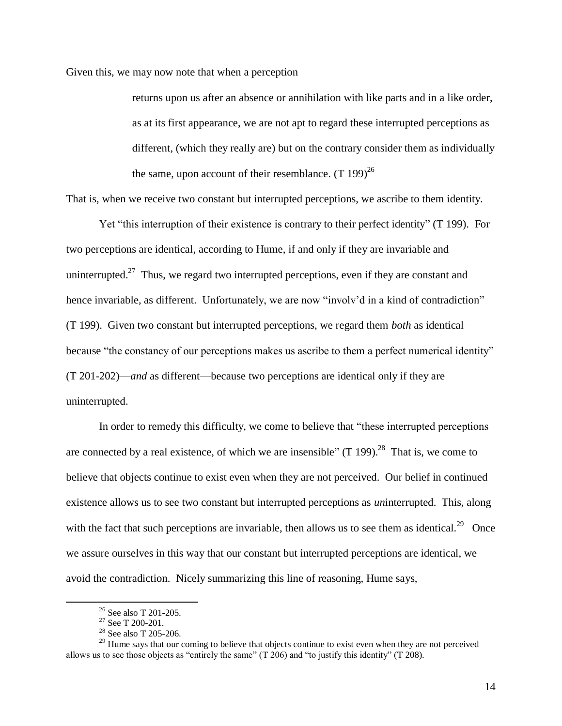Given this, we may now note that when a perception

returns upon us after an absence or annihilation with like parts and in a like order, as at its first appearance, we are not apt to regard these interrupted perceptions as different, (which they really are) but on the contrary consider them as individually the same, upon account of their resemblance.  $(T 199)^{26}$ 

That is, when we receive two constant but interrupted perceptions, we ascribe to them identity.

Yet "this interruption of their existence is contrary to their perfect identity" (T 199). For two perceptions are identical, according to Hume, if and only if they are invariable and uninterrupted.<sup>27</sup> Thus, we regard two interrupted perceptions, even if they are constant and hence invariable, as different. Unfortunately, we are now "involv'd in a kind of contradiction" (T 199). Given two constant but interrupted perceptions, we regard them *both* as identical because "the constancy of our perceptions makes us ascribe to them a perfect numerical identity" (T 201-202)—*and* as different—because two perceptions are identical only if they are uninterrupted.

In order to remedy this difficulty, we come to believe that "these interrupted perceptions are connected by a real existence, of which we are insensible" (T 199).<sup>28</sup> That is, we come to believe that objects continue to exist even when they are not perceived. Our belief in continued existence allows us to see two constant but interrupted perceptions as *un*interrupted. This, along with the fact that such perceptions are invariable, then allows us to see them as identical.<sup>29</sup> Once we assure ourselves in this way that our constant but interrupted perceptions are identical, we avoid the contradiction. Nicely summarizing this line of reasoning, Hume says,

<sup>26</sup> See also T 201-205.

 $27$  See T 200-201.

 $28 \text{ See also T } 205-206.$ 

<sup>&</sup>lt;sup>29</sup> Hume says that our coming to believe that objects continue to exist even when they are not perceived allows us to see those objects as "entirely the same" (T 206) and "to justify this identity" (T 208).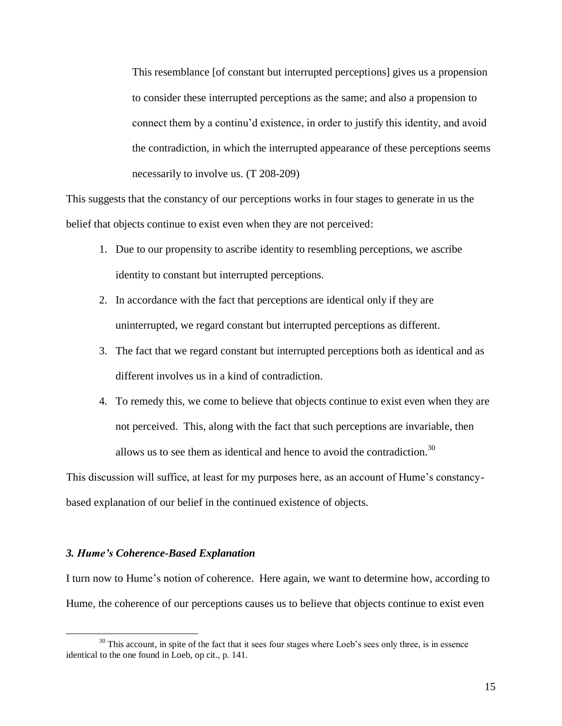This resemblance [of constant but interrupted perceptions] gives us a propension to consider these interrupted perceptions as the same; and also a propension to connect them by a continu"d existence, in order to justify this identity, and avoid the contradiction, in which the interrupted appearance of these perceptions seems necessarily to involve us. (T 208-209)

This suggests that the constancy of our perceptions works in four stages to generate in us the belief that objects continue to exist even when they are not perceived:

- 1. Due to our propensity to ascribe identity to resembling perceptions, we ascribe identity to constant but interrupted perceptions.
- 2. In accordance with the fact that perceptions are identical only if they are uninterrupted, we regard constant but interrupted perceptions as different.
- 3. The fact that we regard constant but interrupted perceptions both as identical and as different involves us in a kind of contradiction.
- 4. To remedy this, we come to believe that objects continue to exist even when they are not perceived. This, along with the fact that such perceptions are invariable, then allows us to see them as identical and hence to avoid the contradiction.<sup>30</sup>

This discussion will suffice, at least for my purposes here, as an account of Hume"s constancybased explanation of our belief in the continued existence of objects.

### *3. Hume's Coherence-Based Explanation*

 $\overline{a}$ 

I turn now to Hume"s notion of coherence. Here again, we want to determine how, according to Hume, the coherence of our perceptions causes us to believe that objects continue to exist even

<sup>&</sup>lt;sup>30</sup> This account, in spite of the fact that it sees four stages where Loeb's sees only three, is in essence identical to the one found in Loeb, op cit., p. 141.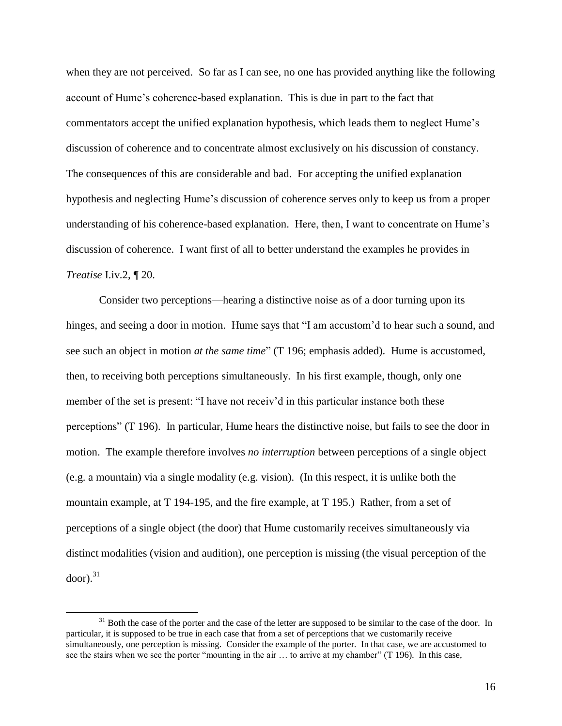when they are not perceived. So far as I can see, no one has provided anything like the following account of Hume"s coherence-based explanation. This is due in part to the fact that commentators accept the unified explanation hypothesis, which leads them to neglect Hume"s discussion of coherence and to concentrate almost exclusively on his discussion of constancy. The consequences of this are considerable and bad. For accepting the unified explanation hypothesis and neglecting Hume's discussion of coherence serves only to keep us from a proper understanding of his coherence-based explanation. Here, then, I want to concentrate on Hume"s discussion of coherence. I want first of all to better understand the examples he provides in *Treatise* I.iv.2, ¶ 20.

Consider two perceptions—hearing a distinctive noise as of a door turning upon its hinges, and seeing a door in motion. Hume says that "I am accustom'd to hear such a sound, and see such an object in motion *at the same time*" (T 196; emphasis added). Hume is accustomed, then, to receiving both perceptions simultaneously. In his first example, though, only one member of the set is present: "I have not receiv'd in this particular instance both these perceptions" (T 196). In particular, Hume hears the distinctive noise, but fails to see the door in motion. The example therefore involves *no interruption* between perceptions of a single object (e.g. a mountain) via a single modality (e.g. vision). (In this respect, it is unlike both the mountain example, at T 194-195, and the fire example, at T 195.) Rather, from a set of perceptions of a single object (the door) that Hume customarily receives simultaneously via distinct modalities (vision and audition), one perception is missing (the visual perception of the  $door).$ <sup>31</sup>

 $31$  Both the case of the porter and the case of the letter are supposed to be similar to the case of the door. In particular, it is supposed to be true in each case that from a set of perceptions that we customarily receive simultaneously, one perception is missing. Consider the example of the porter. In that case, we are accustomed to see the stairs when we see the porter "mounting in the air … to arrive at my chamber" (T 196). In this case,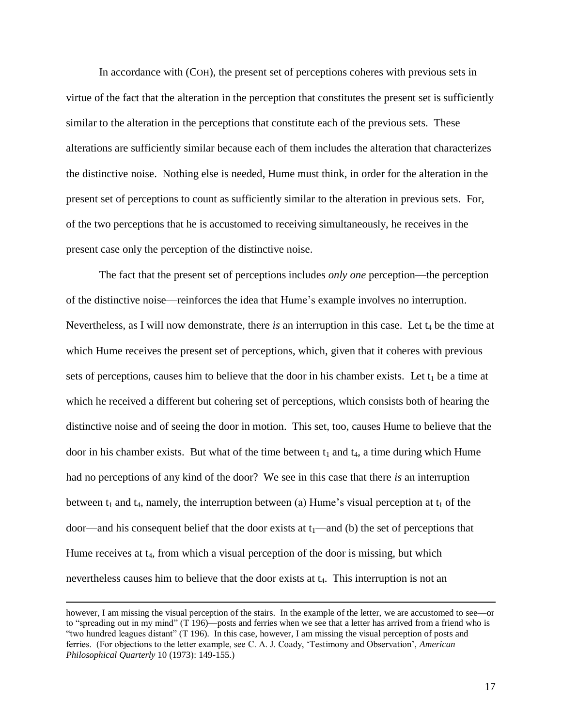In accordance with (COH), the present set of perceptions coheres with previous sets in virtue of the fact that the alteration in the perception that constitutes the present set is sufficiently similar to the alteration in the perceptions that constitute each of the previous sets. These alterations are sufficiently similar because each of them includes the alteration that characterizes the distinctive noise. Nothing else is needed, Hume must think, in order for the alteration in the present set of perceptions to count as sufficiently similar to the alteration in previous sets. For, of the two perceptions that he is accustomed to receiving simultaneously, he receives in the present case only the perception of the distinctive noise.

The fact that the present set of perceptions includes *only one* perception—the perception of the distinctive noise—reinforces the idea that Hume"s example involves no interruption. Nevertheless, as I will now demonstrate, there *is* an interruption in this case. Let  $t_4$  be the time at which Hume receives the present set of perceptions, which, given that it coheres with previous sets of perceptions, causes him to believe that the door in his chamber exists. Let  $t_1$  be a time at which he received a different but cohering set of perceptions, which consists both of hearing the distinctive noise and of seeing the door in motion. This set, too, causes Hume to believe that the door in his chamber exists. But what of the time between  $t_1$  and  $t_4$ , a time during which Hume had no perceptions of any kind of the door? We see in this case that there *is* an interruption between  $t_1$  and  $t_4$ , namely, the interruption between (a) Hume's visual perception at  $t_1$  of the door—and his consequent belief that the door exists at  $t_1$ —and (b) the set of perceptions that Hume receives at  $t_4$ , from which a visual perception of the door is missing, but which nevertheless causes him to believe that the door exists at  $t_4$ . This interruption is not an

however, I am missing the visual perception of the stairs. In the example of the letter, we are accustomed to see—or to "spreading out in my mind" (T 196)—posts and ferries when we see that a letter has arrived from a friend who is "two hundred leagues distant" (T 196). In this case, however, I am missing the visual perception of posts and ferries. (For objections to the letter example, see C. A. J. Coady, "Testimony and Observation", *American Philosophical Quarterly* 10 (1973): 149-155.)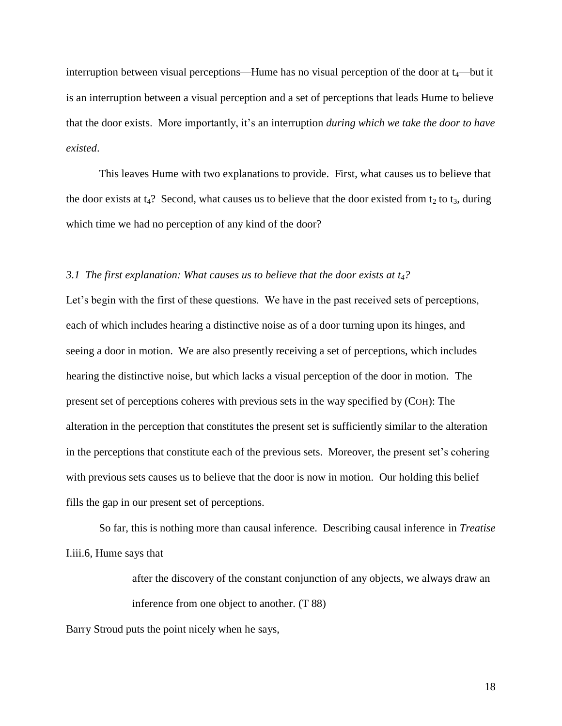interruption between visual perceptions—Hume has no visual perception of the door at  $t_4$ —but it is an interruption between a visual perception and a set of perceptions that leads Hume to believe that the door exists. More importantly, it"s an interruption *during which we take the door to have existed*.

This leaves Hume with two explanations to provide. First, what causes us to believe that the door exists at  $t_4$ ? Second, what causes us to believe that the door existed from  $t_2$  to  $t_3$ , during which time we had no perception of any kind of the door?

# *3.1 The first explanation: What causes us to believe that the door exists at t4?*

Let's begin with the first of these questions. We have in the past received sets of perceptions, each of which includes hearing a distinctive noise as of a door turning upon its hinges, and seeing a door in motion. We are also presently receiving a set of perceptions, which includes hearing the distinctive noise, but which lacks a visual perception of the door in motion. The present set of perceptions coheres with previous sets in the way specified by (COH): The alteration in the perception that constitutes the present set is sufficiently similar to the alteration in the perceptions that constitute each of the previous sets. Moreover, the present set's cohering with previous sets causes us to believe that the door is now in motion. Our holding this belief fills the gap in our present set of perceptions.

So far, this is nothing more than causal inference. Describing causal inference in *Treatise* I.iii.6, Hume says that

> after the discovery of the constant conjunction of any objects, we always draw an inference from one object to another. (T 88)

Barry Stroud puts the point nicely when he says,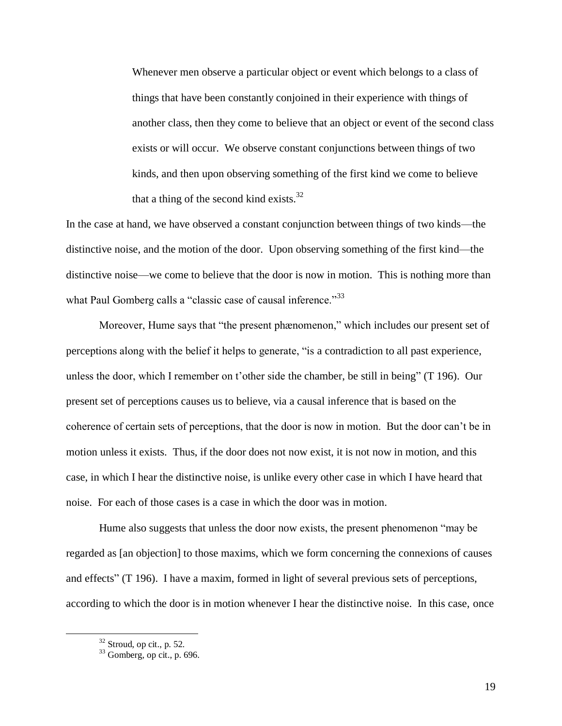Whenever men observe a particular object or event which belongs to a class of things that have been constantly conjoined in their experience with things of another class, then they come to believe that an object or event of the second class exists or will occur. We observe constant conjunctions between things of two kinds, and then upon observing something of the first kind we come to believe that a thing of the second kind exists.<sup>32</sup>

In the case at hand, we have observed a constant conjunction between things of two kinds—the distinctive noise, and the motion of the door. Upon observing something of the first kind—the distinctive noise—we come to believe that the door is now in motion. This is nothing more than what Paul Gomberg calls a "classic case of causal inference."<sup>33</sup>

Moreover, Hume says that "the present phænomenon," which includes our present set of perceptions along with the belief it helps to generate, "is a contradiction to all past experience, unless the door, which I remember on t"other side the chamber, be still in being" (T 196). Our present set of perceptions causes us to believe, via a causal inference that is based on the coherence of certain sets of perceptions, that the door is now in motion. But the door can"t be in motion unless it exists. Thus, if the door does not now exist, it is not now in motion, and this case, in which I hear the distinctive noise, is unlike every other case in which I have heard that noise. For each of those cases is a case in which the door was in motion.

Hume also suggests that unless the door now exists, the present phenomenon "may be regarded as [an objection] to those maxims, which we form concerning the connexions of causes and effects" (T 196). I have a maxim, formed in light of several previous sets of perceptions, according to which the door is in motion whenever I hear the distinctive noise. In this case, once

<sup>32</sup> Stroud, op cit., p. 52.

 $33$  Gomberg, op cit., p. 696.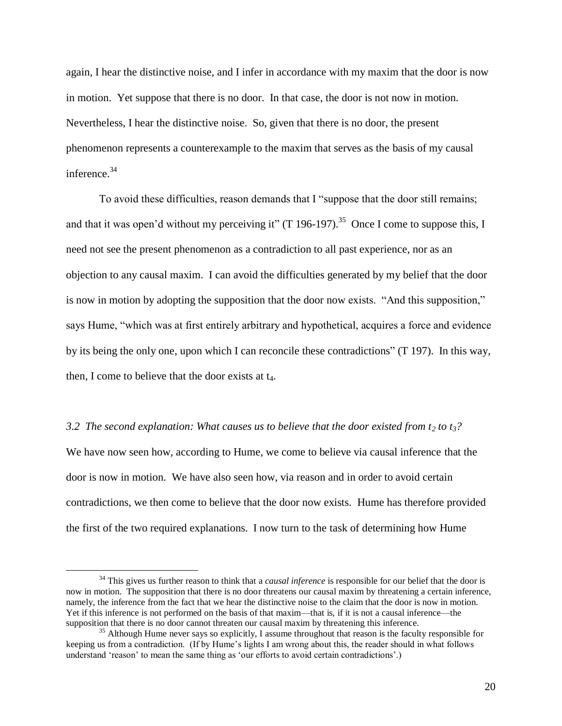again, I hear the distinctive noise, and I infer in accordance with my maxim that the door is now in motion. Yet suppose that there is no door. In that case, the door is not now in motion. Nevertheless, I hear the distinctive noise. So, given that there is no door, the present phenomenon represents a counterexample to the maxim that serves as the basis of my causal inference.<sup>34</sup>

To avoid these difficulties, reason demands that I "suppose that the door still remains; and that it was open'd without my perceiving it" (T 196-197).<sup>35</sup> Once I come to suppose this, I need not see the present phenomenon as a contradiction to all past experience, nor as an objection to any causal maxim. I can avoid the difficulties generated by my belief that the door is now in motion by adopting the supposition that the door now exists. "And this supposition," says Hume, "which was at first entirely arbitrary and hypothetical, acquires a force and evidence by its being the only one, upon which I can reconcile these contradictions" (T 197). In this way, then, I come to believe that the door exists at  $t_4$ .

#### *3.2 The second explanation: What causes us to believe that the door existed from*  $t_2$  *to*  $t_3$ *?*

We have now seen how, according to Hume, we come to believe via causal inference that the door is now in motion. We have also seen how, via reason and in order to avoid certain contradictions, we then come to believe that the door now exists. Hume has therefore provided the first of the two required explanations. I now turn to the task of determining how Hume

<sup>&</sup>lt;sup>34</sup> This gives us further reason to think that a *causal inference* is responsible for our belief that the door is now in motion. The supposition that there is no door threatens our causal maxim by threatening a certain inference, namely, the inference from the fact that we hear the distinctive noise to the claim that the door is now in motion. Yet if this inference is not performed on the basis of that maxim—that is, if it is not a causal inference—the supposition that there is no door cannot threaten our causal maxim by threatening this inference.

 $35$  Although Hume never says so explicitly, I assume throughout that reason is the faculty responsible for keeping us from a contradiction. (If by Hume's lights I am wrong about this, the reader should in what follows understand 'reason' to mean the same thing as 'our efforts to avoid certain contradictions'.)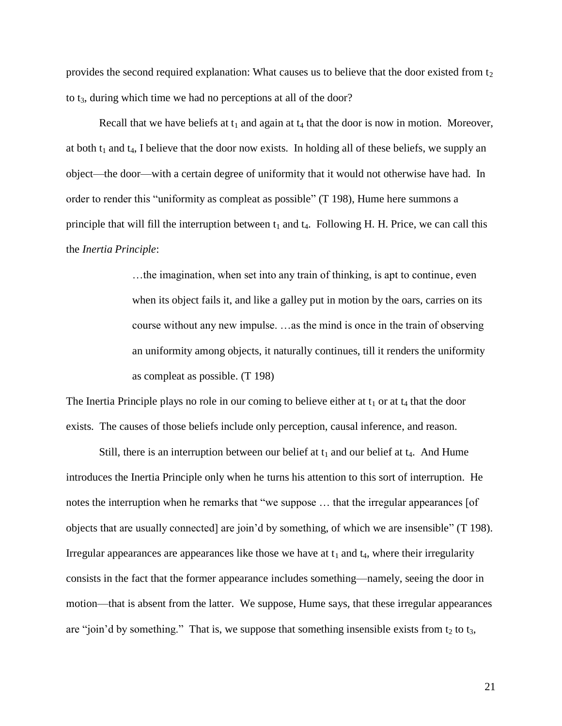provides the second required explanation: What causes us to believe that the door existed from  $t_2$ to t<sub>3</sub>, during which time we had no perceptions at all of the door?

Recall that we have beliefs at  $t_1$  and again at  $t_4$  that the door is now in motion. Moreover, at both  $t_1$  and  $t_4$ , I believe that the door now exists. In holding all of these beliefs, we supply an object—the door—with a certain degree of uniformity that it would not otherwise have had. In order to render this "uniformity as compleat as possible" (T 198), Hume here summons a principle that will fill the interruption between  $t_1$  and  $t_4$ . Following H. H. Price, we can call this the *Inertia Principle*:

> …the imagination, when set into any train of thinking, is apt to continue, even when its object fails it, and like a galley put in motion by the oars, carries on its course without any new impulse. …as the mind is once in the train of observing an uniformity among objects, it naturally continues, till it renders the uniformity as compleat as possible. (T 198)

The Inertia Principle plays no role in our coming to believe either at  $t_1$  or at  $t_4$  that the door exists. The causes of those beliefs include only perception, causal inference, and reason.

Still, there is an interruption between our belief at  $t_1$  and our belief at  $t_4$ . And Hume introduces the Inertia Principle only when he turns his attention to this sort of interruption. He notes the interruption when he remarks that "we suppose … that the irregular appearances [of objects that are usually connected] are join"d by something, of which we are insensible" (T 198). Irregular appearances are appearances like those we have at  $t_1$  and  $t_4$ , where their irregularity consists in the fact that the former appearance includes something—namely, seeing the door in motion—that is absent from the latter. We suppose, Hume says, that these irregular appearances are "join'd by something." That is, we suppose that something insensible exists from  $t_2$  to  $t_3$ ,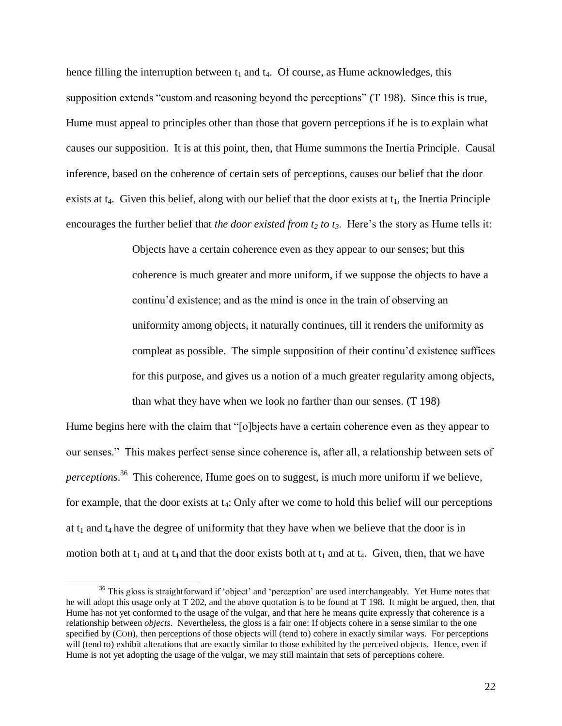hence filling the interruption between  $t_1$  and  $t_4$ . Of course, as Hume acknowledges, this supposition extends "custom and reasoning beyond the perceptions" (T 198). Since this is true, Hume must appeal to principles other than those that govern perceptions if he is to explain what causes our supposition. It is at this point, then, that Hume summons the Inertia Principle. Causal inference, based on the coherence of certain sets of perceptions, causes our belief that the door exists at  $t_4$ . Given this belief, along with our belief that the door exists at  $t_1$ , the Inertia Principle encourages the further belief that *the door existed from t<sup>2</sup> to t3*. Here"s the story as Hume tells it:

> Objects have a certain coherence even as they appear to our senses; but this coherence is much greater and more uniform, if we suppose the objects to have a continu"d existence; and as the mind is once in the train of observing an uniformity among objects, it naturally continues, till it renders the uniformity as compleat as possible. The simple supposition of their continu"d existence suffices for this purpose, and gives us a notion of a much greater regularity among objects, than what they have when we look no farther than our senses. (T 198)

Hume begins here with the claim that "[o]bjects have a certain coherence even as they appear to our senses." This makes perfect sense since coherence is, after all, a relationship between sets of *perceptions*. 36 This coherence, Hume goes on to suggest, is much more uniform if we believe, for example, that the door exists at  $t_4$ : Only after we come to hold this belief will our perceptions at  $t_1$  and  $t_4$  have the degree of uniformity that they have when we believe that the door is in motion both at  $t_1$  and at  $t_4$  and that the door exists both at  $t_1$  and at  $t_4$ . Given, then, that we have

<sup>&</sup>lt;sup>36</sup> This gloss is straightforward if 'object' and 'perception' are used interchangeably. Yet Hume notes that he will adopt this usage only at T 202, and the above quotation is to be found at T 198. It might be argued, then, that Hume has not yet conformed to the usage of the vulgar, and that here he means quite expressly that coherence is a relationship between *objects*. Nevertheless, the gloss is a fair one: If objects cohere in a sense similar to the one specified by (COH), then perceptions of those objects will (tend to) cohere in exactly similar ways. For perceptions will (tend to) exhibit alterations that are exactly similar to those exhibited by the perceived objects. Hence, even if Hume is not yet adopting the usage of the vulgar, we may still maintain that sets of perceptions cohere.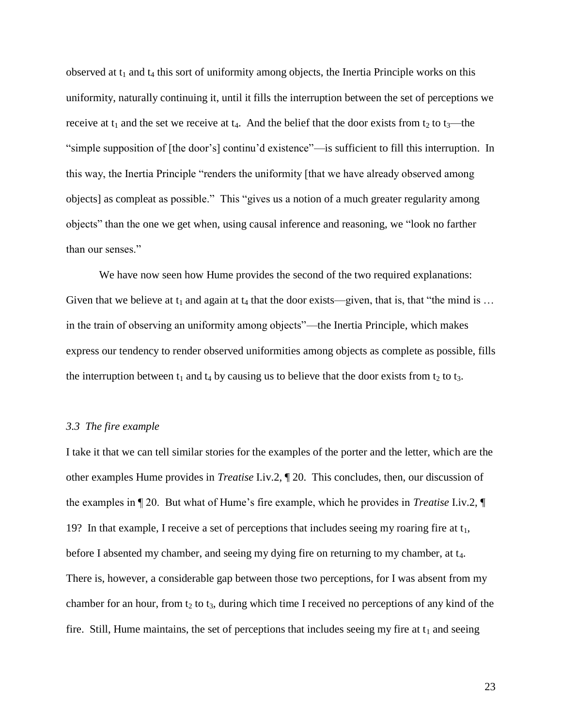observed at  $t_1$  and  $t_4$  this sort of uniformity among objects, the Inertia Principle works on this uniformity, naturally continuing it, until it fills the interruption between the set of perceptions we receive at  $t_1$  and the set we receive at  $t_4$ . And the belief that the door exists from  $t_2$  to  $t_3$ —the "simple supposition of [the door"s] continu"d existence"—is sufficient to fill this interruption. In this way, the Inertia Principle "renders the uniformity [that we have already observed among objects] as compleat as possible." This "gives us a notion of a much greater regularity among objects" than the one we get when, using causal inference and reasoning, we "look no farther than our senses."

We have now seen how Hume provides the second of the two required explanations: Given that we believe at  $t_1$  and again at  $t_4$  that the door exists—given, that is, that "the mind is ... in the train of observing an uniformity among objects"—the Inertia Principle, which makes express our tendency to render observed uniformities among objects as complete as possible, fills the interruption between  $t_1$  and  $t_4$  by causing us to believe that the door exists from  $t_2$  to  $t_3$ .

## *3.3 The fire example*

I take it that we can tell similar stories for the examples of the porter and the letter, which are the other examples Hume provides in *Treatise* I.iv.2, ¶ 20. This concludes, then, our discussion of the examples in ¶ 20. But what of Hume"s fire example, which he provides in *Treatise* I.iv.2, ¶ 19? In that example, I receive a set of perceptions that includes seeing my roaring fire at  $t_1$ , before I absented my chamber, and seeing my dying fire on returning to my chamber, at t<sub>4</sub>. There is, however, a considerable gap between those two perceptions, for I was absent from my chamber for an hour, from  $t_2$  to  $t_3$ , during which time I received no perceptions of any kind of the fire. Still, Hume maintains, the set of perceptions that includes seeing my fire at  $t_1$  and seeing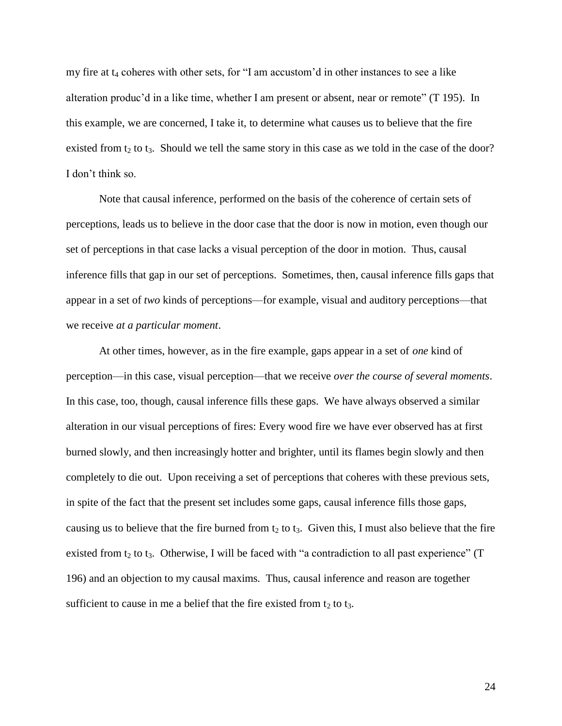my fire at  $t_4$  coheres with other sets, for "I am accustom'd in other instances to see a like alteration produc'd in a like time, whether I am present or absent, near or remote" (T 195). In this example, we are concerned, I take it, to determine what causes us to believe that the fire existed from  $t_2$  to  $t_3$ . Should we tell the same story in this case as we told in the case of the door? I don"t think so.

Note that causal inference, performed on the basis of the coherence of certain sets of perceptions, leads us to believe in the door case that the door is now in motion, even though our set of perceptions in that case lacks a visual perception of the door in motion. Thus, causal inference fills that gap in our set of perceptions. Sometimes, then, causal inference fills gaps that appear in a set of *two* kinds of perceptions—for example, visual and auditory perceptions—that we receive *at a particular moment*.

At other times, however, as in the fire example, gaps appear in a set of *one* kind of perception—in this case, visual perception—that we receive *over the course of several moments*. In this case, too, though, causal inference fills these gaps. We have always observed a similar alteration in our visual perceptions of fires: Every wood fire we have ever observed has at first burned slowly, and then increasingly hotter and brighter, until its flames begin slowly and then completely to die out. Upon receiving a set of perceptions that coheres with these previous sets, in spite of the fact that the present set includes some gaps, causal inference fills those gaps, causing us to believe that the fire burned from  $t_2$  to  $t_3$ . Given this, I must also believe that the fire existed from  $t_2$  to  $t_3$ . Otherwise, I will be faced with "a contradiction to all past experience" (T 196) and an objection to my causal maxims. Thus, causal inference and reason are together sufficient to cause in me a belief that the fire existed from  $t_2$  to  $t_3$ .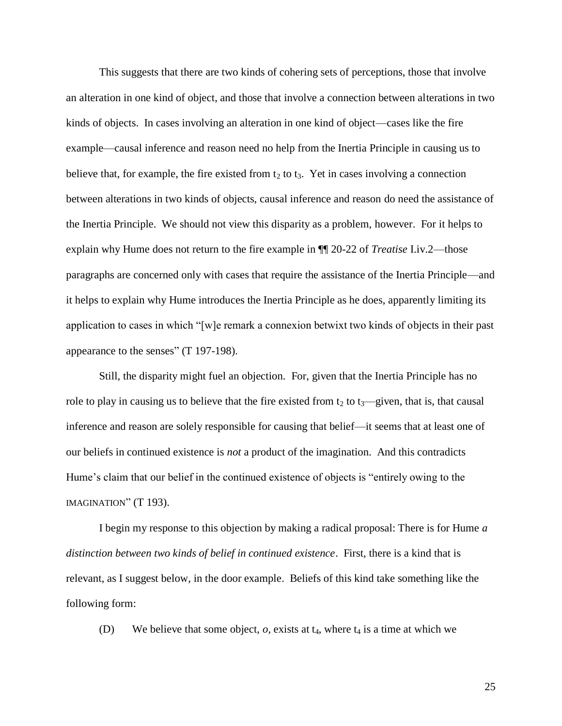This suggests that there are two kinds of cohering sets of perceptions, those that involve an alteration in one kind of object, and those that involve a connection between alterations in two kinds of objects. In cases involving an alteration in one kind of object—cases like the fire example—causal inference and reason need no help from the Inertia Principle in causing us to believe that, for example, the fire existed from  $t_2$  to  $t_3$ . Yet in cases involving a connection between alterations in two kinds of objects, causal inference and reason do need the assistance of the Inertia Principle. We should not view this disparity as a problem, however. For it helps to explain why Hume does not return to the fire example in ¶¶ 20-22 of *Treatise* I.iv.2—those paragraphs are concerned only with cases that require the assistance of the Inertia Principle—and it helps to explain why Hume introduces the Inertia Principle as he does, apparently limiting its application to cases in which "[w]e remark a connexion betwixt two kinds of objects in their past appearance to the senses" (T 197-198).

Still, the disparity might fuel an objection. For, given that the Inertia Principle has no role to play in causing us to believe that the fire existed from  $t_2$  to  $t_3$ —given, that is, that causal inference and reason are solely responsible for causing that belief—it seems that at least one of our beliefs in continued existence is *not* a product of the imagination. And this contradicts Hume"s claim that our belief in the continued existence of objects is "entirely owing to the IMAGINATION" (T 193).

I begin my response to this objection by making a radical proposal: There is for Hume *a distinction between two kinds of belief in continued existence*. First, there is a kind that is relevant, as I suggest below, in the door example. Beliefs of this kind take something like the following form:

(D) We believe that some object,  $o$ , exists at  $t_4$ , where  $t_4$  is a time at which we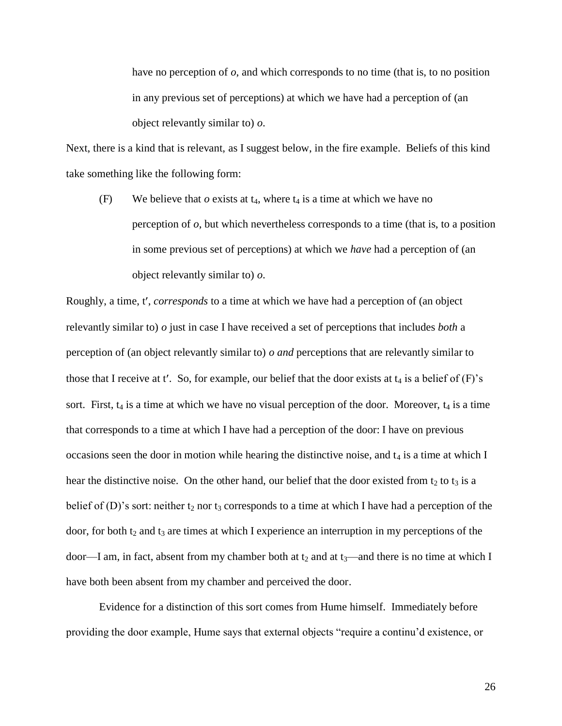have no perception of *o*, and which corresponds to no time (that is, to no position in any previous set of perceptions) at which we have had a perception of (an object relevantly similar to) *o*.

Next, there is a kind that is relevant, as I suggest below, in the fire example. Beliefs of this kind take something like the following form:

(F) We believe that  $o$  exists at  $t_4$ , where  $t_4$  is a time at which we have no perception of *o*, but which nevertheless corresponds to a time (that is, to a position in some previous set of perceptions) at which we *have* had a perception of (an object relevantly similar to) *o*.

Roughly, a time, t', *corresponds* to a time at which we have had a perception of (an object relevantly similar to) *o* just in case I have received a set of perceptions that includes *both* a perception of (an object relevantly similar to) *o and* perceptions that are relevantly similar to those that I receive at t'. So, for example, our belief that the door exists at  $t_4$  is a belief of  $(F)$ 's sort. First,  $t_4$  is a time at which we have no visual perception of the door. Moreover,  $t_4$  is a time that corresponds to a time at which I have had a perception of the door: I have on previous occasions seen the door in motion while hearing the distinctive noise, and  $t_4$  is a time at which I hear the distinctive noise. On the other hand, our belief that the door existed from  $t_2$  to  $t_3$  is a belief of (D)'s sort: neither  $t_2$  nor  $t_3$  corresponds to a time at which I have had a perception of the door, for both  $t_2$  and  $t_3$  are times at which I experience an interruption in my perceptions of the door—I am, in fact, absent from my chamber both at  $t_2$  and at  $t_3$ —and there is no time at which I have both been absent from my chamber and perceived the door.

Evidence for a distinction of this sort comes from Hume himself. Immediately before providing the door example, Hume says that external objects "require a continu"d existence, or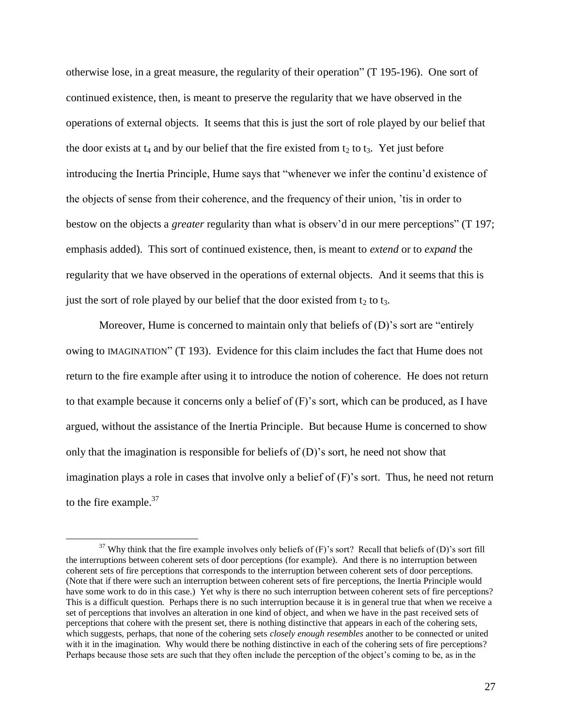otherwise lose, in a great measure, the regularity of their operation" (T 195-196). One sort of continued existence, then, is meant to preserve the regularity that we have observed in the operations of external objects. It seems that this is just the sort of role played by our belief that the door exists at  $t_4$  and by our belief that the fire existed from  $t_2$  to  $t_3$ . Yet just before introducing the Inertia Principle, Hume says that "whenever we infer the continu"d existence of the objects of sense from their coherence, and the frequency of their union, "tis in order to bestow on the objects a *greater* regularity than what is observ'd in our mere perceptions" (T 197; emphasis added). This sort of continued existence, then, is meant to *extend* or to *expand* the regularity that we have observed in the operations of external objects. And it seems that this is just the sort of role played by our belief that the door existed from  $t_2$  to  $t_3$ .

Moreover, Hume is concerned to maintain only that beliefs of (D)'s sort are "entirely owing to IMAGINATION" (T 193). Evidence for this claim includes the fact that Hume does not return to the fire example after using it to introduce the notion of coherence. He does not return to that example because it concerns only a belief of (F)"s sort, which can be produced, as I have argued, without the assistance of the Inertia Principle. But because Hume is concerned to show only that the imagination is responsible for beliefs of  $(D)$ 's sort, he need not show that imagination plays a role in cases that involve only a belief of  $(F)$ 's sort. Thus, he need not return to the fire example. $37$ 

 $37$  Why think that the fire example involves only beliefs of (F)'s sort? Recall that beliefs of (D)'s sort fill the interruptions between coherent sets of door perceptions (for example). And there is no interruption between coherent sets of fire perceptions that corresponds to the interruption between coherent sets of door perceptions. (Note that if there were such an interruption between coherent sets of fire perceptions, the Inertia Principle would have some work to do in this case.) Yet why is there no such interruption between coherent sets of fire perceptions? This is a difficult question. Perhaps there is no such interruption because it is in general true that when we receive a set of perceptions that involves an alteration in one kind of object, and when we have in the past received sets of perceptions that cohere with the present set, there is nothing distinctive that appears in each of the cohering sets, which suggests, perhaps, that none of the cohering sets *closely enough resembles* another to be connected or united with it in the imagination. Why would there be nothing distinctive in each of the cohering sets of fire perceptions? Perhaps because those sets are such that they often include the perception of the object's coming to be, as in the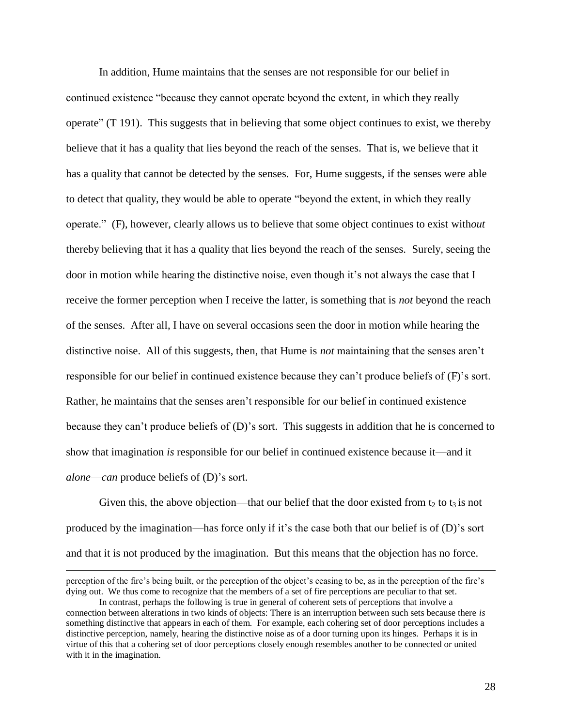In addition, Hume maintains that the senses are not responsible for our belief in continued existence "because they cannot operate beyond the extent, in which they really operate" (T 191). This suggests that in believing that some object continues to exist, we thereby believe that it has a quality that lies beyond the reach of the senses. That is, we believe that it has a quality that cannot be detected by the senses. For, Hume suggests, if the senses were able to detect that quality, they would be able to operate "beyond the extent, in which they really operate." (F), however, clearly allows us to believe that some object continues to exist with*out* thereby believing that it has a quality that lies beyond the reach of the senses. Surely, seeing the door in motion while hearing the distinctive noise, even though it's not always the case that I receive the former perception when I receive the latter, is something that is *not* beyond the reach of the senses. After all, I have on several occasions seen the door in motion while hearing the distinctive noise. All of this suggests, then, that Hume is *not* maintaining that the senses aren"t responsible for our belief in continued existence because they can"t produce beliefs of (F)"s sort. Rather, he maintains that the senses aren"t responsible for our belief in continued existence because they can"t produce beliefs of (D)"s sort. This suggests in addition that he is concerned to show that imagination *is* responsible for our belief in continued existence because it—and it *alone*—*can* produce beliefs of (D)"s sort.

Given this, the above objection—that our belief that the door existed from  $t_2$  to  $t_3$  is not produced by the imagination—has force only if it"s the case both that our belief is of (D)"s sort and that it is not produced by the imagination. But this means that the objection has no force.

perception of the fire"s being built, or the perception of the object"s ceasing to be, as in the perception of the fire"s dying out. We thus come to recognize that the members of a set of fire perceptions are peculiar to that set.

In contrast, perhaps the following is true in general of coherent sets of perceptions that involve a connection between alterations in two kinds of objects: There is an interruption between such sets because there *is* something distinctive that appears in each of them. For example, each cohering set of door perceptions includes a distinctive perception, namely, hearing the distinctive noise as of a door turning upon its hinges. Perhaps it is in virtue of this that a cohering set of door perceptions closely enough resembles another to be connected or united with it in the imagination.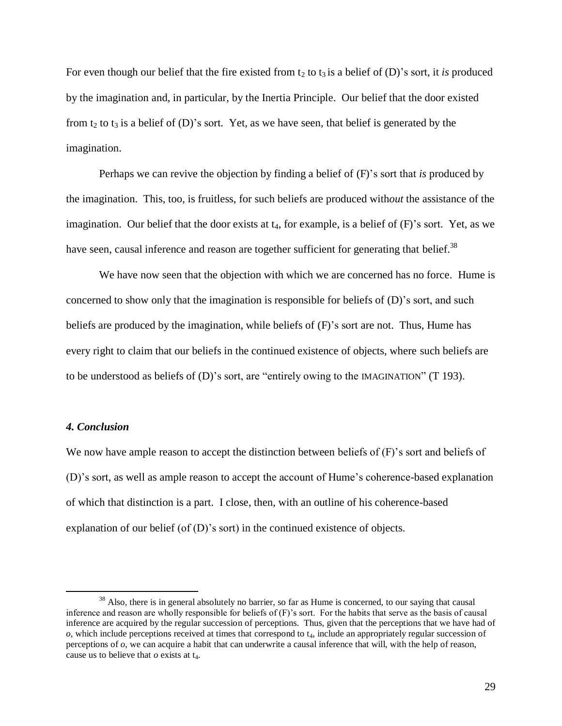For even though our belief that the fire existed from  $t_2$  to  $t_3$  is a belief of (D)'s sort, it *is* produced by the imagination and, in particular, by the Inertia Principle. Our belief that the door existed from t<sub>2</sub> to t<sub>3</sub> is a belief of (D)'s sort. Yet, as we have seen, that belief is generated by the imagination.

Perhaps we can revive the objection by finding a belief of (F)"s sort that *is* produced by the imagination. This, too, is fruitless, for such beliefs are produced with*out* the assistance of the imagination. Our belief that the door exists at  $t_4$ , for example, is a belief of  $(F)$ 's sort. Yet, as we have seen, causal inference and reason are together sufficient for generating that belief.<sup>38</sup>

We have now seen that the objection with which we are concerned has no force. Hume is concerned to show only that the imagination is responsible for beliefs of (D)"s sort, and such beliefs are produced by the imagination, while beliefs of (F)"s sort are not. Thus, Hume has every right to claim that our beliefs in the continued existence of objects, where such beliefs are to be understood as beliefs of (D)"s sort, are "entirely owing to the IMAGINATION" (T 193).

# *4. Conclusion*

 $\overline{a}$ 

We now have ample reason to accept the distinction between beliefs of (F)'s sort and beliefs of (D)"s sort, as well as ample reason to accept the account of Hume"s coherence-based explanation of which that distinction is a part. I close, then, with an outline of his coherence-based explanation of our belief (of (D)'s sort) in the continued existence of objects.

<sup>&</sup>lt;sup>38</sup> Also, there is in general absolutely no barrier, so far as Hume is concerned, to our saying that causal inference and reason are wholly responsible for beliefs of (F)"s sort. For the habits that serve as the basis of causal inference are acquired by the regular succession of perceptions. Thus, given that the perceptions that we have had of  $o$ , which include perceptions received at times that correspond to  $t<sub>4</sub>$ , include an appropriately regular succession of perceptions of *o*, we can acquire a habit that can underwrite a causal inference that will, with the help of reason, cause us to believe that  $o$  exists at  $t_4$ .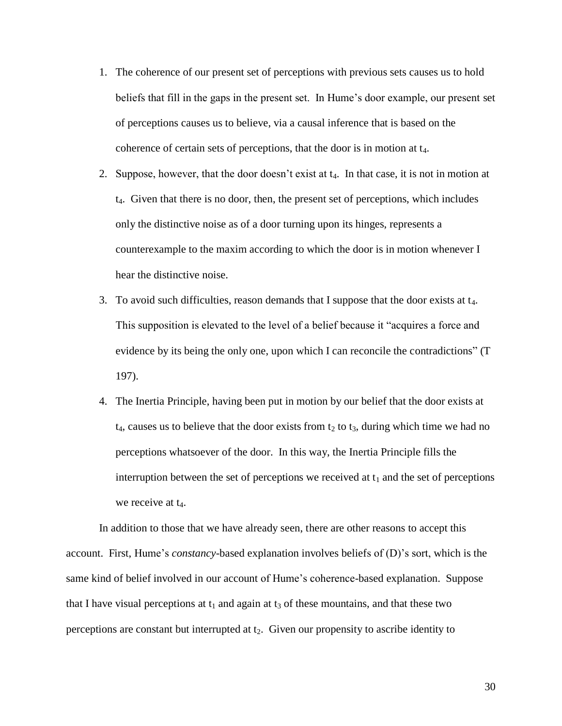- 1. The coherence of our present set of perceptions with previous sets causes us to hold beliefs that fill in the gaps in the present set. In Hume"s door example, our present set of perceptions causes us to believe, via a causal inference that is based on the coherence of certain sets of perceptions, that the door is in motion at  $t_4$ .
- 2. Suppose, however, that the door doesn't exist at  $t_4$ . In that case, it is not in motion at  $t_4$ . Given that there is no door, then, the present set of perceptions, which includes only the distinctive noise as of a door turning upon its hinges, represents a counterexample to the maxim according to which the door is in motion whenever I hear the distinctive noise.
- 3. To avoid such difficulties, reason demands that I suppose that the door exists at  $t_4$ . This supposition is elevated to the level of a belief because it "acquires a force and evidence by its being the only one, upon which I can reconcile the contradictions" (T 197).
- 4. The Inertia Principle, having been put in motion by our belief that the door exists at  $t_4$ , causes us to believe that the door exists from  $t_2$  to  $t_3$ , during which time we had no perceptions whatsoever of the door. In this way, the Inertia Principle fills the interruption between the set of perceptions we received at  $t_1$  and the set of perceptions we receive at  $t_4$ .

In addition to those that we have already seen, there are other reasons to accept this account. First, Hume"s *constancy*-based explanation involves beliefs of (D)"s sort, which is the same kind of belief involved in our account of Hume"s coherence-based explanation. Suppose that I have visual perceptions at  $t_1$  and again at  $t_3$  of these mountains, and that these two perceptions are constant but interrupted at  $t_2$ . Given our propensity to ascribe identity to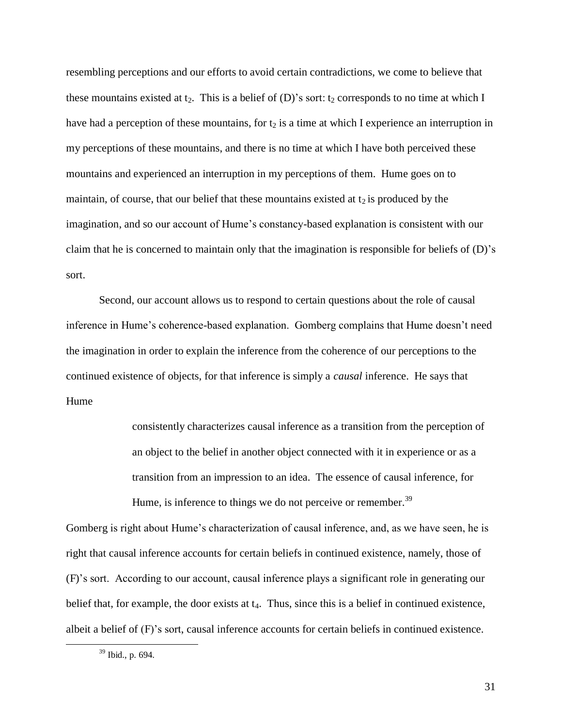resembling perceptions and our efforts to avoid certain contradictions, we come to believe that these mountains existed at  $t_2$ . This is a belief of (D)'s sort:  $t_2$  corresponds to no time at which I have had a perception of these mountains, for  $t_2$  is a time at which I experience an interruption in my perceptions of these mountains, and there is no time at which I have both perceived these mountains and experienced an interruption in my perceptions of them. Hume goes on to maintain, of course, that our belief that these mountains existed at  $t_2$  is produced by the imagination, and so our account of Hume's constancy-based explanation is consistent with our claim that he is concerned to maintain only that the imagination is responsible for beliefs of  $(D)$ 's sort.

Second, our account allows us to respond to certain questions about the role of causal inference in Hume's coherence-based explanation. Gomberg complains that Hume doesn't need the imagination in order to explain the inference from the coherence of our perceptions to the continued existence of objects, for that inference is simply a *causal* inference. He says that Hume

> consistently characterizes causal inference as a transition from the perception of an object to the belief in another object connected with it in experience or as a transition from an impression to an idea. The essence of causal inference, for Hume, is inference to things we do not perceive or remember.<sup>39</sup>

Gomberg is right about Hume"s characterization of causal inference, and, as we have seen, he is right that causal inference accounts for certain beliefs in continued existence, namely, those of (F)"s sort. According to our account, causal inference plays a significant role in generating our belief that, for example, the door exists at  $t_4$ . Thus, since this is a belief in continued existence, albeit a belief of (F)"s sort, causal inference accounts for certain beliefs in continued existence.

<sup>39</sup> Ibid., p. 694.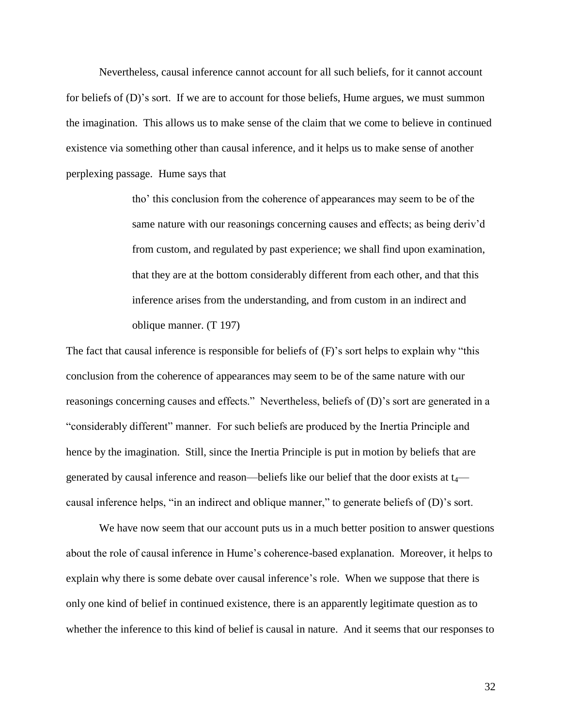Nevertheless, causal inference cannot account for all such beliefs, for it cannot account for beliefs of (D)"s sort. If we are to account for those beliefs, Hume argues, we must summon the imagination. This allows us to make sense of the claim that we come to believe in continued existence via something other than causal inference, and it helps us to make sense of another perplexing passage. Hume says that

> tho" this conclusion from the coherence of appearances may seem to be of the same nature with our reasonings concerning causes and effects; as being deriv'd from custom, and regulated by past experience; we shall find upon examination, that they are at the bottom considerably different from each other, and that this inference arises from the understanding, and from custom in an indirect and oblique manner. (T 197)

The fact that causal inference is responsible for beliefs of  $(F)$ 's sort helps to explain why "this conclusion from the coherence of appearances may seem to be of the same nature with our reasonings concerning causes and effects." Nevertheless, beliefs of (D)'s sort are generated in a "considerably different" manner. For such beliefs are produced by the Inertia Principle and hence by the imagination. Still, since the Inertia Principle is put in motion by beliefs that are generated by causal inference and reason—beliefs like our belief that the door exists at  $t_4$  causal inference helps, "in an indirect and oblique manner," to generate beliefs of (D)"s sort.

We have now seem that our account puts us in a much better position to answer questions about the role of causal inference in Hume"s coherence-based explanation. Moreover, it helps to explain why there is some debate over causal inference's role. When we suppose that there is only one kind of belief in continued existence, there is an apparently legitimate question as to whether the inference to this kind of belief is causal in nature. And it seems that our responses to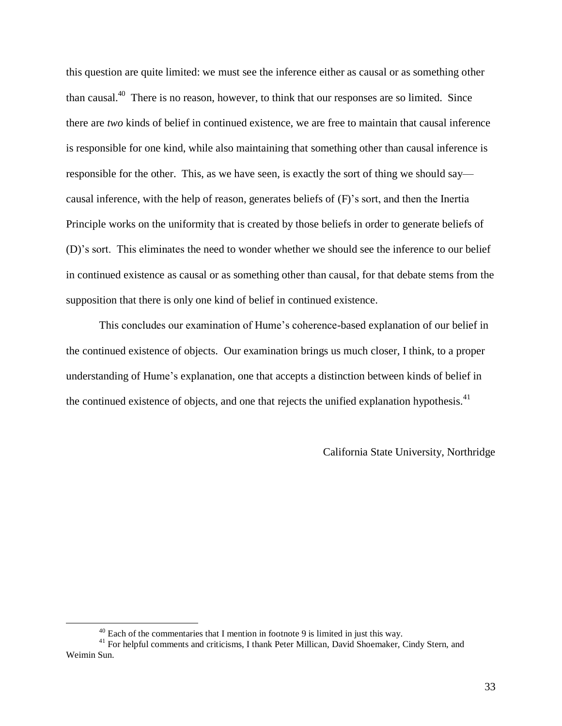this question are quite limited: we must see the inference either as causal or as something other than causal.<sup>40</sup> There is no reason, however, to think that our responses are so limited. Since there are *two* kinds of belief in continued existence, we are free to maintain that causal inference is responsible for one kind, while also maintaining that something other than causal inference is responsible for the other. This, as we have seen, is exactly the sort of thing we should say causal inference, with the help of reason, generates beliefs of (F)"s sort, and then the Inertia Principle works on the uniformity that is created by those beliefs in order to generate beliefs of (D)"s sort. This eliminates the need to wonder whether we should see the inference to our belief in continued existence as causal or as something other than causal, for that debate stems from the supposition that there is only one kind of belief in continued existence.

This concludes our examination of Hume"s coherence-based explanation of our belief in the continued existence of objects. Our examination brings us much closer, I think, to a proper understanding of Hume"s explanation, one that accepts a distinction between kinds of belief in the continued existence of objects, and one that rejects the unified explanation hypothesis.<sup>41</sup>

California State University, Northridge

 $40$  Each of the commentaries that I mention in footnote 9 is limited in just this way.

<sup>&</sup>lt;sup>41</sup> For helpful comments and criticisms, I thank Peter Millican, David Shoemaker, Cindy Stern, and Weimin Sun.